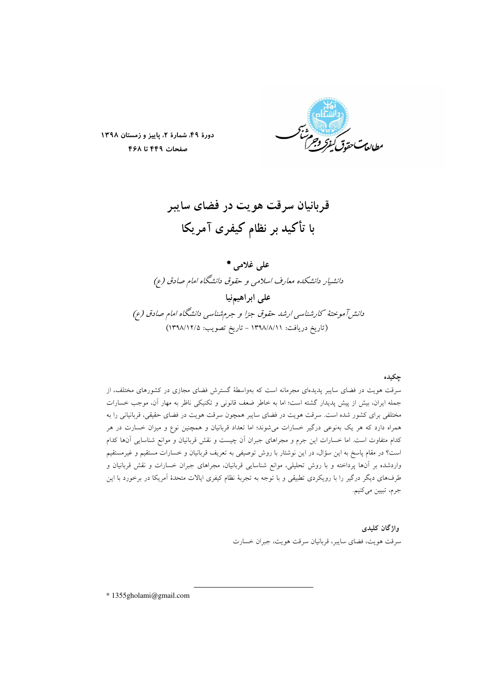

دورة ۴۹، شمارة ٢، پاییز و زمستان ١٣٩٨ صفحات ۴۴۹ تا ۴۶۸

قربانیان سرقت هو یت در فضای سایبر با تأكيد بر نظام كيفرى آمريكا

على غلامى \* دانشیار دانشکده معارف اسلامی و حقوق دانشگاه امام صادق (ع) على ابراهيمنيا دانش آموختهٔ کارشناسی ارشد حقوق جزا و جرم شناسی دانشگاه امام صادق (ع) (تاريخ دريافت: ١٣٩٨/٨/١١ - تاريخ تصويب: ١٣٩٨/١٢/٥)

جكيده

سرقت هویت در فضای سایبر پدیدهای مجرمانه است که بهواسطهٔ گسترش فضای مجازی در کشورهای مختلف، از جمله ایران، بیش از پیش پدیدار گشته است؛ اما به خاطر ضعف قانونی و تکنیکی ناظر به مهار آن، موجب خسارات مختلفی برای کشور شده است. سرقت هویت در فضای سایبر همچون سرقت هویت در فضای حقیقی، قربانیانی را به همراه دارد که هر یک بهنوعی درگیر خسارات میشوند؛ اما تعداد قربانیان و همچنین نوع و میزان خسارت در هر کدام متفاوت است. اما خسارات این جرم و مجراهای جبران آن چیست و نقش قربانیان و موانع شناسایی آنها کدام است؟ در مقام پاسخ به این سؤال، در این نوشتار با روش توصیفی به تعریف قربانیان و خسارات مستقیم و غیرمستقیم واردشده بر آنها پرداخته و با روش تحلیلی، موانع شناسایی قربانیان، مجراهای جبران خسارات و نقش قربانیان و طرفهای دیگر درگیر را با رویکردی تطبیقی و با توجه به تجربهٔ نظام کیفری ایالات متحدهٔ آمریکا در برخورد با این جرم، تبيين ميكنيم.

> واژگان كليدى سرقت هويت، فضاي سايبر، قربانيان سرقت هويت، جبران خسارت

\* 1355gholami@gmail.com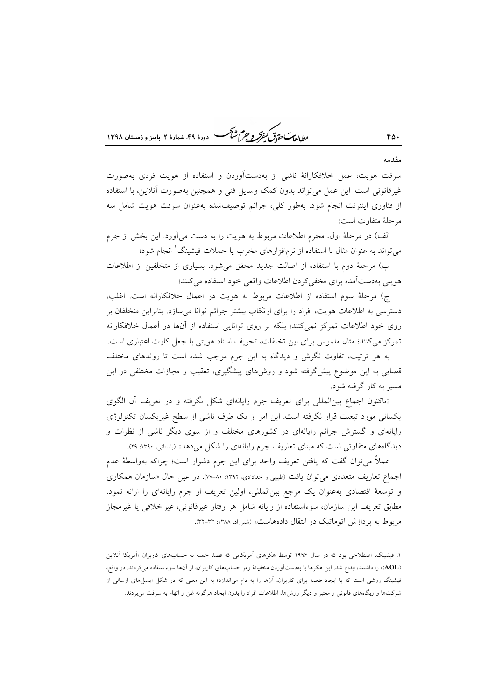مطابع تحقوق كنفركه وجرم شجمسه -<br>۷- دورهٔ ۴۹، شمارهٔ ۲، بابیز و زمستان ۱۳۹۸

### مقدمه

سرقت هویت، عمل خلافکارانهٔ ناشی از بهدستآوردن و استفاده از هویت فردی بهصورت غیرقانونی است. این عمل میتواند بدون کمک وسایل فنی و همچنین بهصورت آنلاین، با استفاده از فناوری اینترنت انجام شود. بهطور کلی، جرائم توصیفشده بهعنوان سرقت هویت شامل سه مرحلة متفاوت است:

الف) در مرحلهٔ اول، مجرم اطلاعات مربوط به هویت را به دست میآورد. این بخش از جرم می تواند به عنوان مثال با استفاده از نرمافزارهای مخرب یا حملات فیشینگ ٰ انجام شود؛

ب) مرحلهٔ دوم با استفاده از اصالت جدید محقق میشود. بسیاری از متخلفین از اطلاعات هويتي بهدستآمده براي مخفى كردن اطلاعات واقعى خود استفاده مى كنند؛

ج) مرحلهٔ سوم استفاده از اطلاعات مربوط به هويت در اعمال خلافكارانه است. اغلب، دسترسی به اطلاعات هویت، افراد را برای ارتکاب بیشتر جرائم توانا میسازد. بنابراین متخلفان بر روی خود اطلاعات تمرکز نمی کنند؛ بلکه بر روی توانایی استفاده از آنها در اَعمال خلافکارانه تمرکز می کنند؛ مثال ملموس برای این تخلفات، تحریف اسناد هویتی با جعل کارت اعتباری است.

به هر ترتیب، تفاوت نگرش و دیدگاه به این جرم موجب شده است تا روندهای مختلف قضایی به این موضوع پیشگرفته شود و روشهای پیشگیری، تعقیب و مجازات مختلفی در این مسیر به کار گرفته شود.

«تاکنون اجماع بینالمللی برای تعریف جرم رایانهای شکل نگرفته و در تعریف آن الگوی یکسانی مورد تبعیت قرار نگرفته است. این امر از یک طرف ناشی از سطح غیریکسان تکنولوژی رایانهای و گسترش جرائم رایانهای در کشورهای مختلف و از سوی دیگر ناشی از نظرات و دیدگاههای متفاوتی است که مبنای تعاریف جرم رایانهای را شکل می دهد» (باستانی، ۱۳۹۰: ۲۹).

عملاً میتوان گفت که یافتن تعریف واحد برای این جرم دشوار است؛ چراکه بهواسطهٔ عدم اجماع تعاریف متعددی می توان یافت (طبیبی و خدادادی، ۱۳۹۴: ۸۰۔۷۷). در عین حال «سازمان همکاری و توسعهٔ اقتصادی بهعنوان یک مرجع بینالمللی، اولین تعریف از جرم رایانهای را ارائه نمود. مطابق تعریف این سازمان، سوءاستفاده از رایانه شامل هر رفتار غیرقانونی، غیراخلاقی یا غیرمجاز مربوط به پردازش اتوماتیک در انتقال دادههاست» (شیرزاد، ۱۳۸۸: ۳۳-۳۲).

۱. فیشینگ، اصطلاحی بود که در سال ۱۹۹۶ توسط هکرهای اَمریکایی که قصد حمله به حسابهای کاربران «اَمریکا اَنلاین (AOL)» را داشتند، ابداع شد. این هکرها با بهدستآوردن مخفیانهٔ رمز حسابهای کاربران، از آنها سوءاستفاده میکردند. در واقع، فیشینگ روشی است که با ایجاد طعمه برای کاربران، آنها را به دام می|ندازد؛ به این معنی که در شکل ایمیلهای ارسالی از شرکتها و وبگاههای قانونی و معتبر و دیگر روشها، اطلاعات افراد را بدون ایجاد هرگونه ظن و اتهام به سرقت می بردند.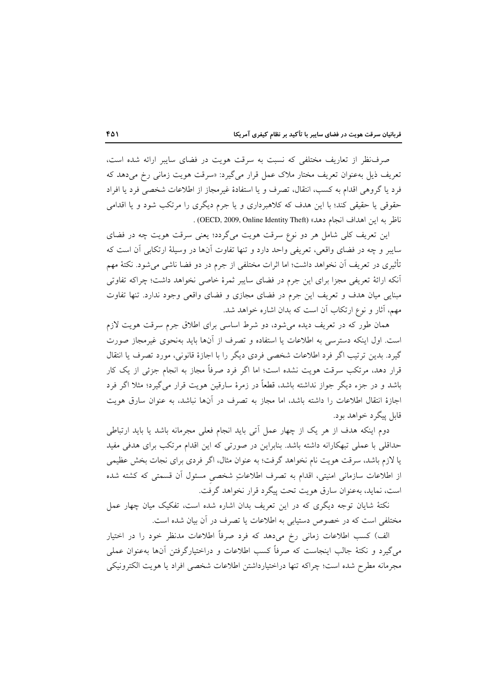صرف نظر از تعاریف مختلفی که نسبت به سرقت هویت در فضای سایبر ارائه شده است، تعریف ذیل بهعنوان تعریف مختار ملاک عمل قرار میگیرد: «سرقت هویت زمانی رخ میدهد که فرد یا گروهی اقدام به کسب، انتقال، تصرف و یا استفادهٔ غیرمجاز از اطلاعات شخصی فرد یا افراد حقوقی یا حقیقی کند؛ با این هدف که کلاهبرداری و یا جرم دیگری را مرتکب شود و یا اقدامی ناظر به اين اهداف انجام دهد» (OECD, 2009, Online Identity Theft) .

این تعریف کلی شامل هر دو نوع سرقت هویت میگردد؛ یعنی سرقت هویت چه در فضای سایبر و چه در فضای واقعی، تعریفی واحد دارد و تنها تفاوت آنها در وسیلهٔ ارتکابی آن است که تأثیری در تعریف اَن نخواهد داشت؛ اما اثرات مختلفی از جرم در دو فضا ناشبی میشود. نکتهٔ مهم آنکه ارائهٔ تعریفی مجزا برای این جرم در فضای سایبر ثمرهٔ خاصی نخواهد داشت؛ چراکه تفاوتی مبنایی میان هدف و تعریف این جرم در فضای مجازی و فضای واقعی وجود ندارد. تنها تفاوت مهم، آثار و نوع ارتکاب آن است که بدان اشاره خواهد شد.

همان طور که در تعریف دیده می شود، دو شرط اساسی برای اطلاق جرم سرقت هویت لازم است. اول اینکه دسترسی به اطلاعات یا استفاده و تصرف از آنها باید بهنحوی غیرمجاز صورت گیرد. بدین ترتیب اگر فرد اطلاعات شخصی فردی دیگر را با اجازهٔ قانونی، مورد تصرف یا انتقال قرار دهد، مرتکب سرقت هویت نشده است؛ اما اگر فرد صرفاً مجاز به انجام جزئی از یک کار باشد و در جزء دیگر جواز نداشته باشد، قطعاً در زمرهٔ سارقین هویت قرار میگیرد؛ مثلاً اگر فرد اجازهٔ انتقال اطلاعات را داشته باشد، اما مجاز به تصرف در آنها نباشد، به عنوان سارق هويت قابل پیگرد خواهد بود.

دوم اینکه هدف از هر یک از چهار عمل آتی باید انجام فعلی مجرمانه باشد یا باید ارتباطی حداقلی با عملی تبهکارانه داشته باشد. بنابراین در صورتی که این اقدام مرتکب برای هدفی مفید یا لازم باشد، سرقت هویت نام نخواهد گرفت؛ به عنوان مثال، اگر فردی برای نجات بخش عظیمی از اطلاعات سازمانی امنیتی، اقدام به تصرف اطلاعاتِ شخصی مسئول آن قسمتی که کشته شده است، نماید، بهعنوان سارق هویت تحت پیگرد قرار نخواهد گرفت.

نکتهٔ شایان توجه دیگری که در این تعریف بدان اشاره شده است، تفکیک میان چهار عمل مختلفی است که در خصوص دستیابی به اطلاعات یا تصرف در آن بیان شده است.

الف) کسب اطلاعات زمانی رخ میدهد که فرد صرفاً اطلاعات مدنظر خود را در اختیار می گیرد و نکتهٔ جالب اینجاست که صرفاً کسب اطلاعات و دراختیارگرفتن آنها بهعنوان عملی مجرمانه مطرح شده است؛ چراکه تنها دراختیارداشتن اطلاعات شخصی افراد یا هویت الکترونیکی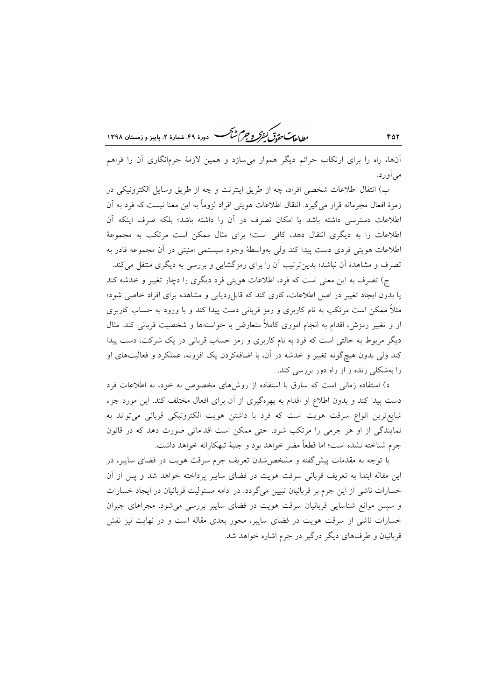ر ...<br>رولایات متحدق گفتروچم شنگ هودهٔ ۴۹، شعارهٔ ۲، پاییز و ذمستان ۱۳۹۸

آنها، راه را برای ارتکاب جرائم دیگر هموار می سازد و همین لازمهٔ جرمانگاری آن را فراهم مي آورد.

ب) انتقال اطلاعات شخصی افراد، چه از طریق اینترنت و چه از طریق وسایل الکترونیکی در زمرهٔ افعال مجرمانه قرار میگیرد. انتقال اطلاعات هویتی افراد لزوماً به این معنا نیست که فرد به آن اطلاعات دسترسی داشته باشد یا امکان تصرف در آن را داشته باشد؛ بلکه صرف اینکه آن اطلاعات را به دیگری انتقال دهد، کافی است؛ برای مثال ممکن است مرتکب به مجموعهٔ اطلاعات هویتی فردی دست پیدا کند ولی بهواسطهٔ وجود سیستمی امنیتی در آن مجموعه قادر به تصرف و مشاهدهٔ اَن نباشد؛ بدینترتیب اَن را برای رمزگشایی و بررسی به دیگری منتقل می کند.

ج) تصرف به این معنی است که فرد، اطلاعات هویتی فرد دیگری را دچار تغییر و خدشه کند یا بدون ایجاد تغییر در اصل اطلاعات، کاری کند که قابل ردیابی و مشاهده برای افراد خاصی شود؛ مثلاً ممکن است مرتکب به نام کاربری و رمز قربانی دست پیدا کند و با ورود به حساب کاربری او و تغییر رمزش، اقدام به انجام اموری کاملاً متعارض با خواستهها و شخصیت قربانی کند. مثال دیگر مربوط به حالتی است که فرد به نام کاربری و رمز حساب قربانی در یک شرکت، دست پیدا کند ولی بدون هیچگونه تغییر و خدشه در آن، با اضافهکردن یک افزونه، عملکرد و فعالیتهای او را بهشکلی زنده و از راه دور بررسی کند.

د) استفاده زمانی است که سارق با استفاده از روشهای مخصوص به خود، به اطلاعات فرد دست پیدا کند و بدون اطلاع او اقدام به بهرهگیری از آن برای افعال مختلف کند. این مورد جزء شايع ترين انواع سرقت هويت است كه فرد با داشتن هويت الكترونيكي قرباني مي تواند به نمایندگی از او هر جرمی را مرتکب شود. حتی ممکن است اقداماتی صورت دهد که در قانون جرم شناخته نشده است؛ اما قطعاً مضر خواهد بود و جنبهٔ تبهکارانه خواهد داشت.

با توجه به مقدمات پیشگفته و مشخصشدن تعریف جرم سرقت هویت در فضای سایبر، در این مقاله ابتدا به تعریف قربانی سرقت هویت در فضای سایبر پرداخته خواهد شد و پس از آن خسارات ناشی از این جرم بر قربانیان تبیین میگردد. در ادامه مسئولیت قربانیان در ایجاد خسارات و سپس موانع شناسایی قربانیان سرقت هویت در فضای سایبر بررسی می شود. مجراهای جبران خسارات ناشی از سرقت هویت در فضای سایبر، محور بعدی مقاله است و در نهایت نیز نقش قربانیان و طرفهای دیگر درگیر در جرم اشاره خواهد شد.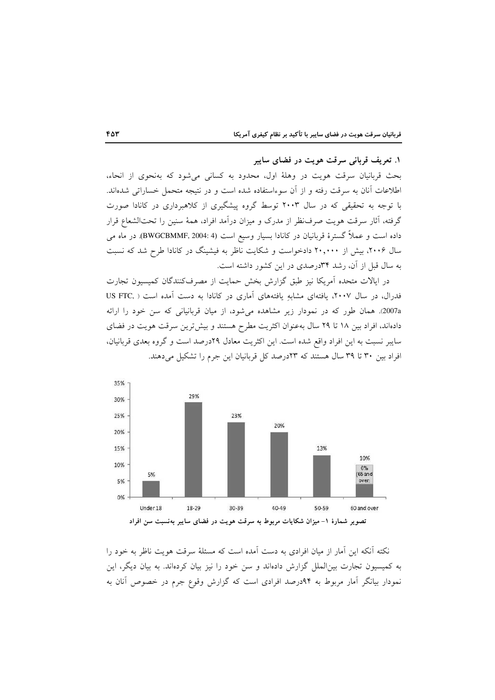۱. تعریف قربانی سرقت هویت در فضای سایبر

بحث قربانیان سرقت هویت در وهلهٔ اول، محدود به کسانی میشود که بهنحوی از انحاء، اطلاعات آنان به سرقت رفته و از آن سوءاستفاده شده است و در نتیجه متحمل خساراتی شدهاند. با توجه به تحقیقی که در سال ۲۰۰۳ توسط گروه پیشگیری از کلاهبرداری در کانادا صورت گرفته، أثار سرقت هويت صرفنظر از مدرک و ميزان درآمد افراد، همهٔ سنين را تحتالشعاع قرار داده است و عملاً گسترهٔ قربانیان در کانادا بسیار وسیع است (BWGCBMMF, 2004: 4). در ماه می سال ۲۰۰۶، بیش از ۲۰٫۰۰۰ دادخواست و شکایت ناظر به فیشینگ در کانادا طرح شد که نسبت به سال قبل از آن، رشد ۳۴درصدی در این کشور داشته است.

در ایالات متحده اَمریکا نیز طبق گزارش بخش حمایت از مصرفکنندگان کمیسیون تجارت فدرال، در سال ۲۰۰۷، یافتهای مشابه یافتههای آماری در کانادا به دست آمده است ( US FTC 2007a. همان طور که در نمودار زیر مشاهده می شود، از میان قربانیانی که سن خود را ارائه دادهاند، افراد بین ۱۸ تا ۲۹ سال بهعنوان اکثریت مطرح هستند و بیشترین سرقت هویت در فضای سایبر نسبت به این افراد واقع شده است. این اکثریت معادل ۲۹درصد است و گروه بعدی قربانیان، افراد بین ۳۰ تا ۳۹ سال هستند که ۲۳درصد کل قربانیان این جرم را تشکیل می دهند.



نکته آنکه این آمار از میان افرادی به دست آمده است که مسئلهٔ سرقت هویت ناظر به خود را به کمیسیون تجارت بین|لملل گزارش دادهاند و سن خود را نیز بیان کردهاند. به بیان دیگر، این نمودار بیانگر آمار مربوط به ۹۴درصد افرادی است که گزارش وقوع جرم در خصوص آنان به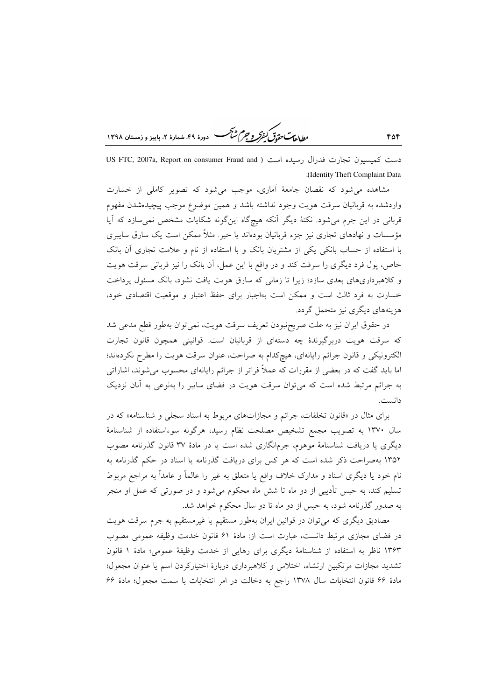يطابع ستقوق كنفركه وجرم شأمسه - دورة ۴۹، شمارة ۲، بابیز و زمستان ۱۳۹۸ ۴۵۴

دست كمبسبون تجارت فدرال رسيده است ( US FTC, 2007a, Report on consumer Fraud and (Identity Theft Complaint Data

مشاهده می شود که نقصان جامعهٔ آماری، موجب می شود که تصویر کاملی از خسارت واردشده به قربانیان سرقت هویت وجود نداشته باشد و همین موضوع موجب پیچیدهشدن مفهوم قربانی در این جرم میشود. نکتهٔ دیگر آنکه هیچگاه اینگونه شکایات مشخص نمیسازد که آیا مؤسسات و نهادهای تجاری نیز جزء قربانیان بودهاند یا خیر. مثلاً ممکن است یک سارق سایبری با استفاده از حساب بانکی یکی از مشتریان بانک و با استفاده از نام و علامت تجاری آن بانک خاص، پول فرد دیگری را سرقت کند و در واقع با این عمل، اَن بانک را نیز قربانی سرقت هویت و کلاهبرداریهای بعدی سازد؛ زیرا تا زمانی که سارق هویت یافت نشود، بانک مسئول پرداخت خسارت به فرد ثالث است و ممکن است بهاجبار برای حفظ اعتبار و موقعیت اقتصادی خود، هزینههای دیگری نیز متحمل گردد.

در حقوق ايران نيز به علت صريحنبودن تعريف سرقت هويت، نمي توان بهطور قطع مدعى شد که سرقت هویت دربرگیرندهٔ چه دستهای از قربانیان است. قوانینی همچون قانون تجارت الکترونیکی و قانون جرائم رایانهای، هیچکدام به صراحت، عنوان سرقت هویت را مطرح نکردهاند؛ اما باید گفت که در بعضی از مقررات که عملاً فراتر از جرائم رایانهای محسوب می شوند، اشاراتی به جرائم مرتبط شده است که می توان سرقت هویت در فضای سایبر را بهنوعی به آنان نزدیک دانست.

برای مثال در «قانون تخلفات، جرائم و مجازاتهای مربوط به اسناد سجل<sub>ی</sub> و شناسنامه» که در سال ۱۳۷۰ به تصویب مجمع تشخیص مصلحت نظام رسید، هرگونه سوءاستفاده از شناسنامهٔ دیگری یا دریافت شناسنامهٔ موهوم، جرمانگاری شده است یا در مادهٔ ۳۷ قانون گذرنامه مصوب ۱۳۵۲ بهصراحت ذکر شده است که هر کس برای دریافت گذرنامه یا اسناد در حکم گذرنامه به نام خود یا دیگری اسناد و مدارک خلاف واقع یا متعلق به غیر را عالماً و عامداً به مراجع مربوط تسلیم کند، به حبس تأدیبی از دو ماه تا شش ماه محکوم میشود و در صورتی که عمل او منجر به صدور گذرنامه شود، به حبس از دو ماه تا دو سال محکوم خواهد شد.

مصادیق دیگری که میتوان در قوانین ایران بهطور مستقیم یا غیرمستقیم به جرم سرقت هویت در فضای مجازی مرتبط دانست، عبارت است از: مادهٔ ۶۱ قانون خدمت وظیفه عمومی مصوب ۱۳۶۳ ناظر به استفاده از شناسنامهٔ دیگری برای رهایی از خدمت وظیفهٔ عمومی؛ مادهٔ ۱ قانون تشدید مجازات مرتکبین ارتشاء، اختلاس و کلاهبرداری دربارهٔ اختیارکردن اسم یا عنوان مجعول؛ مادهٔ ۶۶ قانون انتخابات سال ۱۳۷۸ راجع به دخالت در امر انتخابات با سمت مجعول؛ مادهٔ ۶۶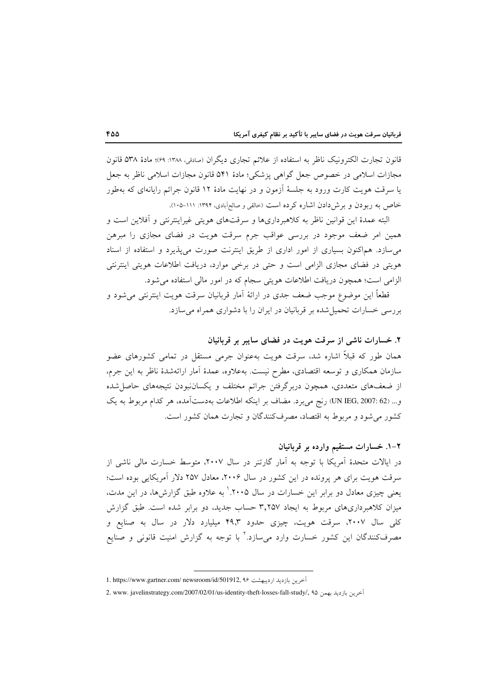قانون تجارت الكترونيك ناظر به استفاده از علائم تجارى ديگران (صادقي، ١٣٨٨: ٤٩)؛ مادة ٥٣٨ قانون مجازات اسلامی در خصوص جعل گواهی پزشکی؛ مادهٔ ۵۴۱ قانون مجازات اسلامی ناظر به جعل یا سرقت هویت کارت ورود به جلسهٔ آزمون و در نهایت مادهٔ ۱۲ قانون جرائم رایانهای که بهطور خاص به ربودن و برش دادن اشاره کرده است (خالقی و صالحاًبادی، ۱۳۹۴: ۱۱۱-۱۰۵).

البته عمدهٔ این قوانین ناظر به کلاهبرداریها و سرقتهای هویتی غیراینترنتی و آفلاین است و همین امر ضعف موجود در بررسی عواقب جرم سرقت هویت در فضای مجازی را مبرهن می سازد. هماکنون بسیاری از امور اداری از طریق اینترنت صورت می پذیرد و استفاده از اسناد هویتی در فضای مجازی الزامی است و حتی در برخی موارد، دریافت اطلاعات هویتی اینترنتی الزامی است؛ همچون دریافت اطلاعات هویتی سجام که در امور مالی استفاده می شود.

قطعاً این موضوع موجب ضعف جدی در ارائهٔ آمار قربانیان سرقت هویت اینترنتی می شود و بررسی خسارات تحمیل شده بر قربانیان در ایران را با دشواری همراه می سازد.

۲. خسارات ناشی از سرقت هویت در فضای سایبر بر قربانیان همان طور که قبلاً اشاره شد، سرقت هویت بهعنوان جرمی مستقل در تمامی کشورهای عضو سازمان همکاری و توسعه اقتصادی، مطرح نیست. بهعلاوه، عمدهٔ آمار ارائهشدهٔ ناظر به این جرم، از ضعفهای متعددی، همچون دربرگرفتن جرائم مختلف و یکساننبودن نتیجههای حاصل شده و… (42 :UN IEG, 2007) رنج مي برد. مضاف بر اينكه اطلاعات بهدست آمده، هر كدام مربوط به يك کشور می شود و مربوط به اقتصاد، مصرفکنندگان و تجارت همان کشور است.

۲-۱. خسارات مستقیم وارده بر قربانیان در ایالات متحدهٔ اَمریکا با توجه به اَمار گارتنر در سال ۲۰۰۷، متوسط خسارت مالی ناشی از سرقت هویت برای هر پرونده در این کشور در سال ۲۰۰۶، معادل ۲۵۷ دلار آمریکایی بوده است؛ یعنی چیزی معادل دو برابر این خسارات در سال ۲۰۰۵٪ به علاوه طبق گزارشها، در این مدت، میزان کلاهبرداریهای مربوط به ایجاد ۳٫۲۵۷ حساب جدید، دو برابر شده است. طبق گزارش کلی سال ۲۰۰۷، سرقت هویت، چیزی حدود ۴۹٫۳ میلیارد دلار در سال به صنایع و مصرفکنندگان این کشور خسارت وارد میسازد.<sup>۲</sup> با توجه به گزارش امنیت قانونی و صنایع

<sup>1.</sup> https://www.gartner.com/ newsroom/id/501912, ٩۶

<sup>2.</sup> www. javelinstrategy.com/2007/02/01/us-identity-theft-losses-fall-study/, ٩٥ ريا بهمن 40 .2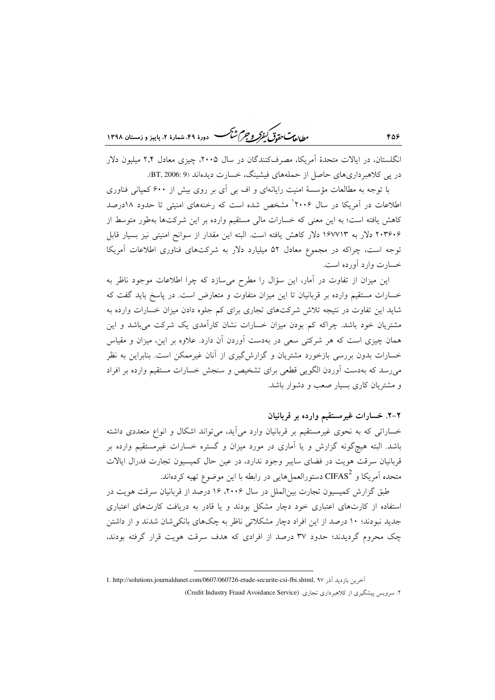ر<br>مطالعات متحقق *کفوکر و جهم شنگ* دودهٔ ۴۹، شعارهٔ ۲، پاییز و زمستان ۱۳۹۸

انگلستان، در ایالات متحدهٔ اَمریکا، مصرفکنندگان در سال ۲۰۰۵، چیزی معادل ۲٫۴ میلیون دلار در یی کلاهبرداری های حاصل از حملههای فیشینگ، خسارت دیدهاند (BT, 2006: 9.

با توجه به مطالعات مؤسسهٔ امنیت رایانهای و اف بی آی بر روی بیش از ۶۰۰ کمپانی فناوری اطلاعات در آمریکا در سال ۲۰۰۶ مشخص شده است که رخنههای امنیتی تا حدود ۱۸درصد کاهش یافته است؛ به این معنی که خسارات مالی مستقیم وارده بر این شرکتها بهطور متوسط از ۲۰۳۶۰۶ دلار به ۱۶۷۷۱۳ دلار کاهش یافته است. البته این مقدار از سوانح امنیتی نیز بسیار قابل توجه است، چراکه در مجموع معادل ۵۲ میلیارد دلار به شرکتهای فناوری اطلاعات آمریکا خسارت وارد آورده است.

این میزان از تفاوت در آمار، این سؤال را مطرح میسازد که چرا اطلاعات موجود ناظر به خسارات مستقیم وارده بر قربانیان تا این میزان متفاوت و متعارض است. در یاسخ باید گفت که شاید این تفاوت در نتیجه تلاش شرکتهای تجاری برای کم جلوه دادن میزان خسارات وارده به .<br>مشتریان خود باشد. چراکه کم بودن میزان خسارات نشان کارآمدی یک شرکت می باشد و این همان چیزی است که هر شرکتی سعی در بهدست آوردن آن دارد. علاوه بر این، میزان و مقیاس خسارات بدون بررسی بازخورد مشتریان و گزارش\$یری از آنان غیرممکن است. بنابراین به نظر می رسد که بهدست آوردن الگویی قطعی برای تشخیص و سنجش خسارات مستقیم وارده بر افراد و مشتریان کاری بسیار صعب و دشوار باشد.

۲–۲. خسارات غیرمستقیم وارده بر قربانیان

خساراتی که به نحوی غیرمستقیم بر قربانیان وارد می آید، میتواند اشکال و انواع متعددی داشته باشد. البته هیچگونه گزارش و یا آماری در مورد میزان و گستره خسارات غیرمستقیم وارده بر .<br>قربانیان سرقت هویت در فضای سایبر وجود ندارد، در عین حال کمیسیون تجارت فدرال ایالات متحده آمریکا و CIFAS<sup>2</sup> دستورالعملهایی در رابطه با این موضوع تهیه کردهاند.

طبق گزارش کمیسیون تجارت بین(لملل در سال ۲۰۰۶، ۱۶ درصد از قربانیان سرقت هویت در استفاده از کارتهای اعتباری خود دچار مشکل بودند و یا قادر به دریافت کارتهای اعتباری جدید نبودند؛ ۱۰ درصد از این افراد دچار مشکلاتی ناظر به چکهای بانکی شان شدند و از داشتن چک محروم گردیدند؛ حدود ۳۷ درصد از افرادی که هدف سرقت هویت قرار گرفته بودند،

<sup>1.</sup> http://solutions.journaldunet.com/0607/060726-etude-securite-csi-fbi.shtml, ٩٧ إخوين بازديد آذر ٩٧ ۲. سرویس پیشگیری از کلاهبرداری تجاری. (Credit Industry Fraud Avoidance Service)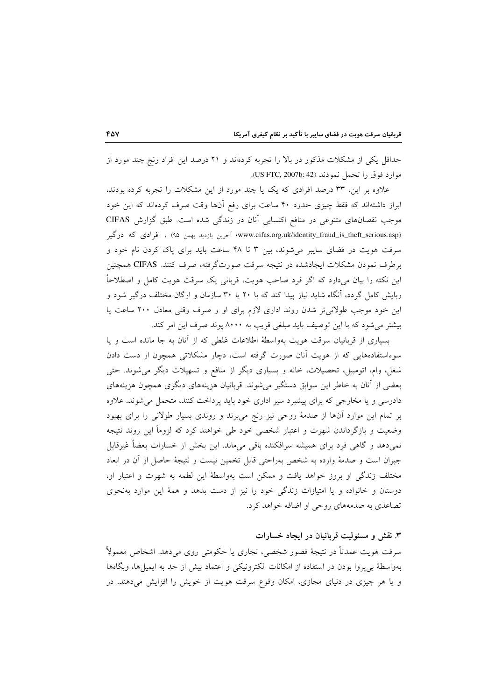حداقل یکی از مشکلات مذکور در بالا را تجربه کردهاند و ۲۱ درصد این افراد رنج چند مورد از موارد فوق را تحمل نمودند (US FTC, 2007b: 42).

علاوه بر این، ۳۳ درصد افرادی که یک یا چند مورد از این مشکلات را تجربه کرده بودند، ابراز داشتهاند که فقط چیزی حدود ۴۰ ساعت برای رفع آنها وقت صرف کردهاند که این خود موجب نقصانهای متنوعی در منافع اکتسابی آنان در زندگی شده است. طبق گزارش CIFAS (www.cifas.org.uk/identity\_fraud\_is\_theft\_serious.asp) ، افرادي كه درگير سرقت هویت در فضای سایبر می شوند، بین ۳ تا ۴۸ ساعت باید برای پاک کردن نام خود و برطرف نمودن مشکلات ایجادشده در نتیجه سرقت صورتگرفته، صرف کنند. CIFAS همچنین این نکته را بیان میدارد که اگر فرد صاحب هویت، قربانی یک سرقت هویت کامل و اصطلاحاً ربایش کامل گردد، آنگاه شاید نیاز پیدا کند که با ۲۰ یا ۳۰ سازمان و ارگان مختلف درگیر شود و این خود موجب طولانی تر شدن روند اداری لازم برای او و صرف وقتی معادل ۲۰۰ ساعت یا بیشتر می شود که با این توصیف باید مبلغی قریب به ۸۰۰۰ پوند صرف این امر کند.

بسیاری از قربانیان سرقت هویت بهواسطهٔ اطلاعات غلطی که از آنان به جا مانده است و یا سوءاستفادههایی که از هویت آنان صورت گرفته است، دچار مشکلاتی همچون از دست دادن شغل، وام، اتومبیل، تحصیلات، خانه و بسیاری دیگر از منافع و تسهیلات دیگر می شوند. حتبی بعضی از آنان به خاطر این سوابق دستگیر میشوند. قربانیان هزینههای دیگری همچون هزینههای دادرسی و یا مخارجی که برای پیشبرد سیر اداری خود باید پرداخت کنند، متحمل می شوند. علاوه بر تمام این موارد آنها از صدمهٔ روحی نیز رنج میبرند و روندی بسیار طولانی را برای بهبود وضعیت و بازگرداندن شهرت و اعتبار شخصی خود طی خواهند کرد که لزوماً این روند نتیجه نمیدهد و گاهی فرد برای همیشه سرافکنده باقی میماند. این بخش از خسارات بعضاً غیرقابل جبران است و صدمهٔ وارده به شخص بهراحتی قابل تخمین نیست و نتیجهٔ حاصل از آن در ابعاد مختلف زندگی او بروز خواهد یافت و ممکن است بهواسطهٔ این لطمه به شهرت و اعتبار او، دوستان و خانواده و یا امتیازات زندگی خود را نیز از دست بدهد و همهٔ این موارد بهنحوی تصاعدي به صدمههاي روحي او اضافه خواهد كرد.

۳. نقش و مسئولیت قربانیان در ایجاد خسارات سرقت هويت عمدتاً در نتيجهٔ قصور شخصي، تجاري يا حکومتي روي مي دهد. اشخاص معمولاً بهواسطهٔ بی پروا بودن در استفاده از امکانات الکترونیکی و اعتماد بیش از حد به ایمیلها، وبگاهها و یا هر چیزی در دنیای مجازی، امکان وقوع سرقت هویت از خویش را افزایش میدهند. در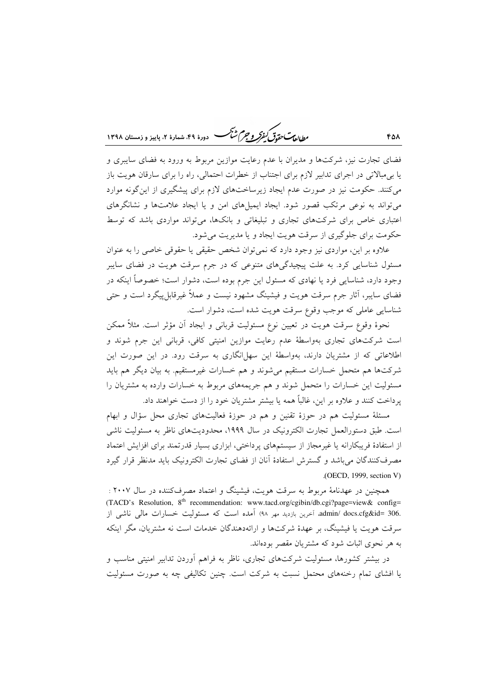ر<br>مط*ال*ی تحقیق *گفتگر و جرم شنگ* هودهٔ ۴۹، شعارهٔ ۲، مامیز و ذمستان ۱۳۹۸

فضای تجارت نیز، شرکتها و مدیران با عدم رعایت موازین مربوط به ورود به فضای سایبری و یا بی مبالاتی در اجرای تدابیر لازم برای اجتناب از خطرات احتمالی، راه را برای سارقان هویت باز می کنند. حکومت نیز در صورت عدم ایجاد زیرساختهای لازم برای پیشگیری از این گونه موارد می تواند به نوعی مرتکب قصور شود. ایجاد ایمیلهای امن و یا ایجاد علامتها و نشانگرهای اعتباری خاص برای شرکتهای تجاری و تبلیغاتی و بانکها، میتواند مواردی باشد که توسط حکومت برای جلوگیری از سرقت هویت ایجاد و یا مدیریت می شود.

علاوه بر این، مواردی نیز وجود دارد که نمی توان شخص حقیقی یا حقوقی خاصی را به عنوان مسئول شناسایی کرد. به علت پیچیدگیهای متنوعی که در جرم سرقت هویت در فضای سایبر وجود دارد، شناسایی فرد یا نهادی که مسئول این جرم بوده است، دشوار است؛ خصوصاً اینکه در فضای سایبر، آثار جرم سرقت هویت و فیشینگ مشهود نیست و عملاً غیرقابل پیگرد است و حتبی شناسایی عاملی که موجب وقوع سرقت هویت شده است، دشوار است.

نحوهٔ وقوع سرقت هويت در تعيين نوع مسئوليت قرباني و ايجاد آن مؤثر است. مثلاً ممكن است شرکتهای تجاری بهواسطهٔ عدم رعایت موازین امنیتی کافی، قربانی این جرم شوند و اطلاعاتی که از مشتریان دارند، بهواسطهٔ این سهلانگاری به سرقت رود. در این صورت این شرکتها هم متحمل خسارات مستقیم میشوند و هم خسارات غیرمستقیم. به بیان دیگر هم باید مسئولیت این خسارات را متحمل شوند و هم جریمههای مربوط به خسارات وارده به مشتریان را پرداخت کنند و علاوه بر این، غالباً همه یا بیشتر مشتریان خود را از دست خواهند داد.

مسئلهٔ مسئولیت هم در حوزهٔ تقنین و هم در حوزهٔ فعالیتهای تجاری محل سؤال و ابهام است. طبق دستورالعمل تجارت الکترونیک در سال ۱۹۹۹، محدودیتهای ناظر به مسئولیت ناشی از استفادهٔ فریبکارانه یا غیرمجاز از سیستمهای پرداختی، ابزاری بسیار قدرتمند برای افزایش اعتماد مصرفکنندگان می باشد و گسترش استفادهٔ آنان از فضای تجارت الکترونیک باید مدنظر قرار گیرد  $(OECD, 1999, section V)$ 

همچنین در عهدنامهٔ مربوط به سرقت هویت، فیشینگ و اعتماد مصرفکننده در سال ۲۰۰۷ : (TACD's Resolution, 8<sup>th</sup> recommendation: www.tacd.org/cgibin/db.cgi?page=view& config= .admin/ docs.cfg&id= 306 آخرین بازدید مهر ۹۸) آمده است که مسئولیت خسارات مالی ناشی از سرقت هويت يا فيشينگ، بر عهدهٔ شركتها و ارائهدهندگان خدمات است نه مشتريان، مگر اينكه به هر نحوی اثبات شود که مشتریان مقصر بودهاند.

در بیشتر کشورها، مسئولیت شرکتهای تجاری، ناظر به فراهم آوردن تدابیر امنیتی مناسب و یا افشای تمام رخنههای محتمل نسبت به شرکت است. چنین تکالیفی چه به صورت مسئولیت

**FAA**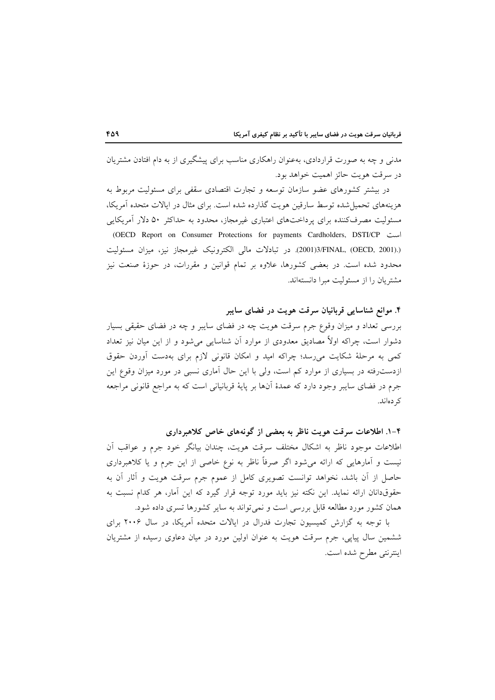مدنی و چه به صورت قراردادی، بهعنوان راهکاری مناسب برای پیشگیری از به دام افتادن مشتریان در سرقت هويت حائز اهميت خواهد بود.

در بیشتر کشورهای عضو سازمان توسعه و تجارت اقتصادی سقفی برای مسئولیت مربوط به هزینههای تحمیل شده توسط سارقین هویت گذارده شده است. برای مثال در ایالات متحده آمریکا، مسئولیت مصرفکننده برای پرداختهای اعتباری غیرمجاز، محدود به حداکثر ۵۰ دلار آمریکایی (OECD Report on Consumer Protections for payments Cardholders, DSTI/CP است (.(OECD, 2001).(2001)2001). در تبادلات مالي الكترونيك غيرمجاز نيز، ميزان مسئوليت محدود شده است. در بعضی کشورها، علاوه بر تمام قوانین و مقررات، در حوزهٔ صنعت نیز مشتر یان را از مسئولیت مبرا دانستهاند.

۴. موانع شناسایی قربانیان سرقت هویت در فضای سایبر بررسی تعداد و میزان وقوع جرم سرقت هویت چه در فضای سایبر و چه در فضای حقیقی بسیار دشوار است، چراکه اولاً مصادیق معدودی از موارد آن شناسایی میشود و از این میان نیز تعداد کمی به مرحلهٔ شکایت می رسد؛ چراکه امید و امکان قانونی لازم برای بهدست آوردن حقوق ازدست رفته در بسیاری از موارد کم است، ولی با این حال آماری نسبی در مورد میزان وقوع این جرم در فضای سایبر وجود دارد که عمدهٔ آنها بر پایهٔ قربانیانی است که به مراجع قانونی مراجعه کر دہاند.

۴–۱. اطلاعات سرقت هویت ناظر به بعضی از گونههای خاص کلاهبرداری اطلاعات موجود ناظر به اشكال مختلف سرقت هويت، چندان بيانگر خود جرم و عواقب آن نیست و آمارهایی که ارائه میشود اگر صرفاً ناظر به نوع خاصی از این جرم و یا کلاهبرداری حاصل از آن باشد، نخواهد توانست تصویری کامل از عموم جرم سرقت هویت و آثار آن به حقوقدانان ارائه نماید. این نکته نیز باید مورد توجه قرار گیرد که این آمار، هر کدام نسبت به همان کشور مورد مطالعه قابل بررسی است و نمی تواند به سایر کشورها تسری داده شود.

با توجه به گزارش کمیسیون تجارت فدرال در ایالات متحده آمریکا، در سال ۲۰۰۶ برای ششمین سال پیاپی، جرم سرقت هویت به عنوان اولین مورد در میان دعاوی رسیده از مشتریان اينترنتي مطرح شده است.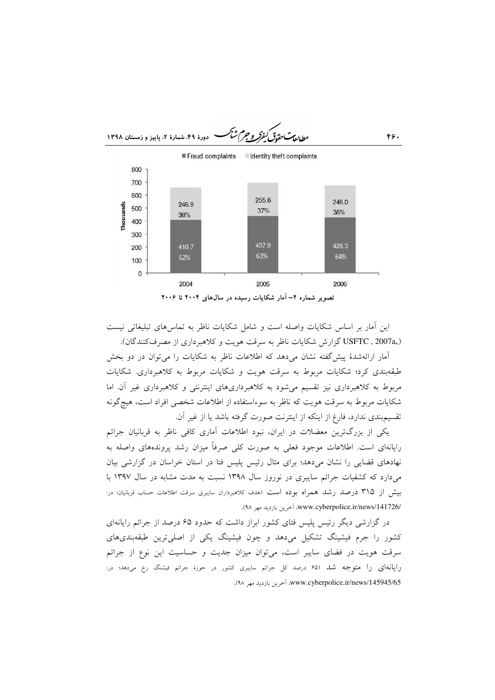

این آمار بر اساس شکایات واصله است و شامل شکایات ناظر به تماس های تبلیغاتی نیست (USFTC , 2007a گزارش شکایات ناظر به سرقت هویت و کلاهبرداری از مصرفکنندگان).

آمار ارائهشدهٔ پیش گفته نشان می دهد که اطلاعات ناظر به شکایات را می توان در دو بخش طبقهبندی کرد؛ شکایات مربوط به سرقت هویت و شکایات مربوط به کلاهبرداری. شکایات مربوط به کلاهبرداری نیز تقسیم میشود به کلاهبرداریهای اینترنتی و کلاهبرداری غیر آن اما شکایات مربوط به سرقت هویت که ناظر به سوءاستفاده از اطلاعات شخصی افراد است، هیچگونه تقسیم.بندی ندارد، فارغ از اینکه از اینترنت صورت گرفته باشد یا از غیر آن.

یکی از بزرگترین معضلات در ایران، نبود اطلاعات آماری کافی ناظر به قربانیان جرائم رایانهای است. اطلاعات موجود فعلی به صورت کلی صرفاً میزان رشد پروندههای واصله به نهادهای قضایی را نشان میدهد؛ برای مثال رئیس پلیس فتا در استان خراسان در گزارشی بیان میدارد که کشفیات جرائم سایبری در نوروز سال ۱۳۹۸ نسبت به مدت مشابه در سال ۱۳۹۷ با بیش از ۳۱۵ درصد رشد همراه بوده است (هدف کلاهبرداران سایبری سرقت اطلاعات حساب قربانیان؛ در: /www.cyberpolice.ir/news/141726. آخرين بازديد مهر ٩٨).

در گزارشی دیگر رئیس پلیس فتای کشور ابراز داشت که حدود ۶۵ درصد از جرائم رایانهای کشور را جرم فیشینگ تشکیل میدهد و چون فیشینگ یکی از اصلیترین طبقهبندیهای سرقت هویت در فضای سایبر است، می توان میزان جدیت و حساسیت این نوع از جرائم رایانهای را متوجه شد (۶۵ درصد کل جرائم سایبری کشور در حوزهٔ جرائم فیشنگ رخ میدهد؛ در: www.cyberpolice.ir/news/145945/65. آخرين بازديد مهر ٩٨).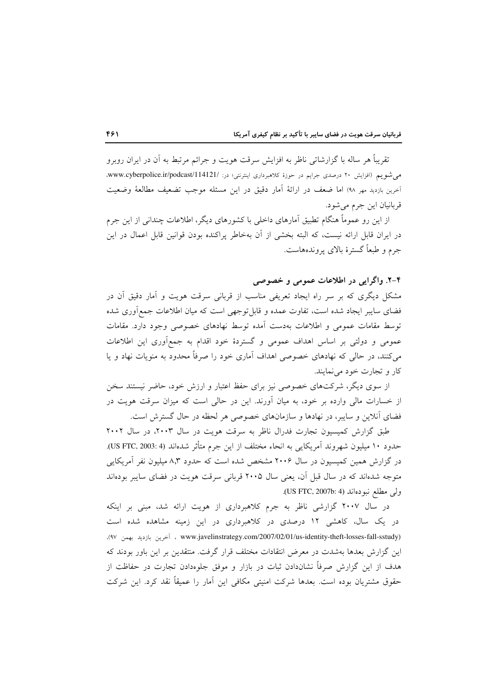تقریباً هر ساله با گزارشاتی ناظر به افزایش سرقت هویت و جرائم مرتبط به آن در ایران روبرو می شویم (افزایش ۲۰ درصدی جرایم در حوزهٔ کلاهبرداری اینترنتی؛ در: /www.cyberpolice.ir/podcast/114121، آخرین بازدید مهر ۹۸) اما ضعف در ارائهٔ آمار دقیق در این مسئله موجب تضعیف مطالعهٔ وضعیت قربانيان اين جرم مي شود.

از این رو عموماً هنگام تطبیق اَمارهای داخلی با کشورهای دیگر، اطلاعات چندانی از این جرم در ایران قابل ارائه نیست، که البته بخشی از آن بهخاطر پراکنده بودن قوانین قابل اعمال در این جرم و طبعاً گسترهٔ بالای پروندههاست.

# ۴-۲. واگرایی در اطلاعات عمومی و خصوصی

مشکل دیگری که بر سر راه ایجاد تعریفی مناسب از قربانی سرقت هویت و آمار دقیق آن در فضای سایبر ایجاد شده است، تفاوت عمده و قابل توجهی است که میان اطلاعات جمع[وری شده توسط مقامات عمومی و اطلاعات بهدست آمده توسط نهادهای خصوصی وجود دارد. مقامات عمومی و دولتی بر اساس اهداف عمومی و گستردهٔ خود اقدام به جمعآوری این اطلاعات می کنند، در حالی که نهادهای خصوصی اهداف آماری خود را صرفاً محدود به منویات نهاد و یا کار و تجارت خود می نمایند.

از سوی دیگر، شرکتهای خصوصی نیز برای حفظ اعتبار و ارزش خود، حاضر نیستند سخن از خسارات مالی وارده بر خود، به میان آورند. این در حالی است که میزان سرقت هویت در فضای آنلاین و سایبر، در نهادها و سازمانهای خصوصی هر لحظه در حال گسترش است.

طبق گزارش کمیسیون تجارت فدرال ناظر به سرقت هویت در سال ۲۰۰۳، در سال ۲۰۰۲ حدود ۱۰ میلیون شهروند آمریکایی به انحاء مختلف از این جرم متأثر شدهاند (US FTC, 2003: 4). در گزارش همین کمیسیون در سال ۲۰۰۶ مشخص شده است که حدود ۸٫۳ میلیون نفر آمریکایی متوجه شدهاند که در سال قبل آن، یعنی سال ۲۰۰۵ قربانی سرقت هویت در فضای سایبر بودهاند ولي مطلع نبودهاند (US FTC, 2007b: 4).

در سال ۲۰۰۷ گزارشی ناظر به جرم کلاهبرداری از هویت ارائه شد، مبنی بر اینکه در یک سال، کاهشی ۱۲ درصدی در کلاهبرداری در این زمینه مشاهده شده است (www.javelinstrategy.com/2007/02/01/us-identity-theft-losses-fall-sstudy) ، آخرين بازديد بهمن ٩٧). این گزارش بعدها بهشدت در معرض انتقادات مختلف قرار گرفت. منتقدین بر این باور بودند که هدف از این گزارش صرفاً نشاندادن ثبات در بازار و موفق جلوهدادن تجارت در حفاظت از حقوق مشتريان بوده است. بعدها شركت امنيتي مكافى اين آمار را عميقاً نقد كرد. اين شركت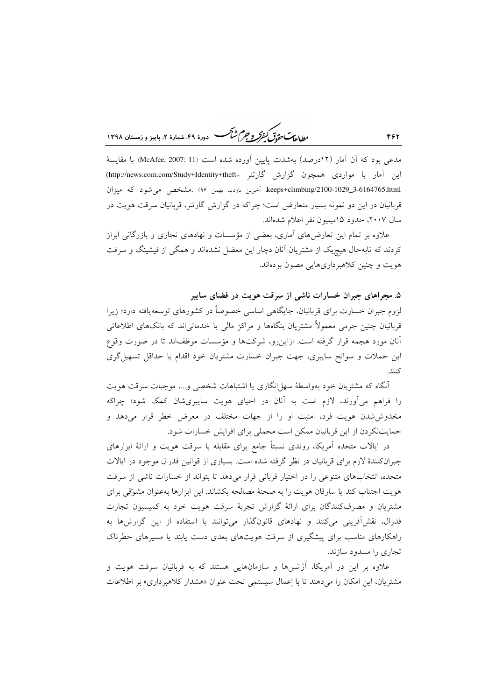ر ...<br>روای**دست حقدتی کنفرکر و جرم شنگ** ده ده ۴۹، شعارهٔ ۲، ماییز و ذمستان ۱۳۹۸

مدعی بود که آن آمار (۱۲درصد) بهشدت پایین آورده شده است (McAfee, 2007: 11). با مقایسهٔ این آمار با مواردی همچون گزارش گارتنر +http://news.com.com/Study+Identity+theft keeps+climbing/2100-1029\_3-6164765.html آخرين بازديد بهمن ٩۶) .مشخص مي شود كه ميزان قربانیان در این دو نمونه بسیار متعارض است؛ چراکه در گزارش گارتنر، قربانیان سرقت هویت در سال ۲۰۰۷، حدود ۱۵میلیون نفر اعلام شدهاند.

علاوه بر تمام این تعارضهای آماری، بعضی از مؤسسات و نهادهای تجاری و بازرگانی ابراز کردند که تابهحال هیچیک از مشتریان آنان دچار این معضل نشدهاند و همگی از فیشینگ و سرقت هويت و چنين كلاهبردارى هايى مصون بودهاند.

۵. مجراهای جبران خسارات ناشی از سرقت هویت در فضای سایبر

لزوم جبران خسارت برای قربانیان، جایگاهی اساسی خصوصاً در کشورهای توسعهیافته دارد؛ زیرا قربانیان چنین جرمی معمولاً مشتریان بنگاهها و مراکز مالی یا خدماتی|ند که بانکهای اطلاعاتی آنان مورد هجمه قرار گرفته است. ازاین٫و، شرکتها و مؤسسات موظفاند تا در صورت وقوع این حملات و سوانح سایبری، جهت جبران خسارت مشتریان خود اقدام یا حداقل تسهیل گری كنند.

آنگاه که مشتریان خود بهواسطهٔ سهل انگاری یا اشتباهات شخصی و…، موجبات سرقت هویت را فراهم میآورند، لازم است به آنان در احیای هویت سایبریشان کمک شود؛ چراکه مخدوش شدن هویت فرد، امنیت او را از جهات مختلف در معرض خطر قرار میدهد و حمایتنکردن از این قربانیان ممکن است محملی برای افزایش خسارات شود.

در ایالات متحده آمریکا، روندی نسبتاً جامع برای مقابله با سرقت هویت و ارائهٔ ابزارهای جبرانکنندهٔ لازم برای قربانیان در نظر گرفته شده است. بسیاری از قوانین فدرال موجود در ایالات متحده، انتخابهای متنوعی را در اختیار قربانی قرار میدهد تا بتواند از خسارات ناشی از سرقت هويت اجتناب كند يا سارقان هويت را به صحنهٔ مصالحه بكشاند. اين ابزارها بهعنوان مشوّقي براي مشتریان و مصرفکنندگان برای ارائهٔ گزارش تجربهٔ سرقت هویت خود به کمیسیون تجارت فدرال، نقش[فرینی میکنند و نهادهای قانونگذار میتوانند با استفاده از این گزارشها به راهکارهای مناسب برای پیشگیری از سرقت هویتهای بعدی دست یابند یا مسیرهای خطرناک تجاری را مسدود سازند.

علاوه بر این در اَمریکا، اَژانسها و سازمانهایی هستند که به قربانیان سرقت هویت و مشتریان، این امکان را میدهند تا با اِعمال سیستمی تحت عنوان «هشدار کلاهبرداری» بر اطلاعات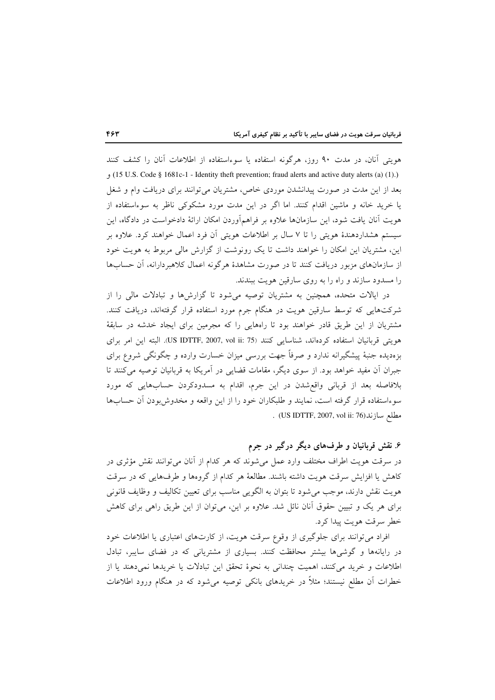هویتی آنان، در مدت ۹۰ روز، هرگونه استفاده یا سوءاستفاده از اطلاعات آنان را کشف کنند (1) (15 U.S. Code § 1681c-1 - Identity theft prevention; fraud alerts and active duty alerts (a) (1).) بعد از این مدت در صورت پیدانشدن موردی خاص، مشتریان می توانند برای دریافت وام و شغل یا خرید خانه و ماشین اقدام کنند. اما اگر در این مدت مورد مشکوکی ناظر به سوءاستفاده از هویت آنان یافت شود، این سازمانها علاوه بر فراهمآوردن امکان ارائهٔ دادخواست در دادگاه، این سیستم هشداردهندهٔ هویتی را تا ۷ سال بر اطلاعات هویتی آن فرد اعمال خواهند کرد. علاوه بر این، مشتریان این امکان را خواهند داشت تا یک رونوشت از گزارش مالی مربوط به هویت خود از سازمانهای مزبور دریافت کنند تا در صورت مشاهدهٔ هرگونه اعمال کلاهبردارانه، آن حسابها را مسدود سازند و راه را به روی سارقین هویت ببندند.

در ایالات متحده، همچنین به مشتریان توصیه می شود تا گزارشها و تبادلات مالی را از شرکتهایی که توسط سارقین هویت در هنگام جرم مورد استفاده قرار گرفتهاند، دریافت کنند. مشتریان از این طریق قادر خواهند بود تا راههایی را که مجرمین برای ایجاد خدشه در سابقهٔ هويتي قربانيان استفاده كردهاند، شناسايي كنند (US IDTTF, 2007, vol ii: 75). البته اين امر براي بزهدیده جنبهٔ پیشگیرانه ندارد و صرفاً جهت بررسی میزان خسارت وارده و چگونگی شروع برای جبران آن مفید خواهد بود. از سوی دیگر، مقامات قضایی در آمریکا به قربانیان توصیه می کنند تا بلافاصله بعد از قربانی واقعشدن در این جرم، اقدام به مسدودکردن حسابهایی که مورد سوءاستفاده قرار گرفته است، نمایند و طلبکاران خود را از این واقعه و مخدوش بودن آن حسابها . (US IDTTF, 2007, vol ii: 76) .

# ۶. نقش قربانیان و طرفهای دیگر درگیر در جرم

در سرقت هویت اطراف مختلف وارد عمل می شوند که هر کدام از آنان می توانند نقش مؤثری در کاهش یا افزایش سرقت هویت داشته باشند. مطالعهٔ هر کدام از گروهها و طرفهایی که در سرقت هويت نقش دارند، موجب مي شود تا بتوان به الگويي مناسب براي تعيين تكاليف و وظايف قانوني برای هر یک و تبیین حقوق أنان نائل شد. علاوه بر این، میتوان از این طریق راهی برای کاهش خطر سرقت هويت پيدا كرد.

افراد میتوانند برای جلوگیری از وقوع سرقت هویت، از کارتهای اعتباری یا اطلاعات خود در رایانهها و گوشیها بیشتر محافظت کنند. بسیاری از مشتریانی که در فضای سایبر، تبادل اطلاعات و خرید میکنند، اهمیت چندانی به نحوهٔ تحقق این تبادلات یا خریدها نمیدهند یا از خطرات آن مطلع نیستند؛ مثلاً در خریدهای بانکی توصیه میشود که در هنگام ورود اطلاعات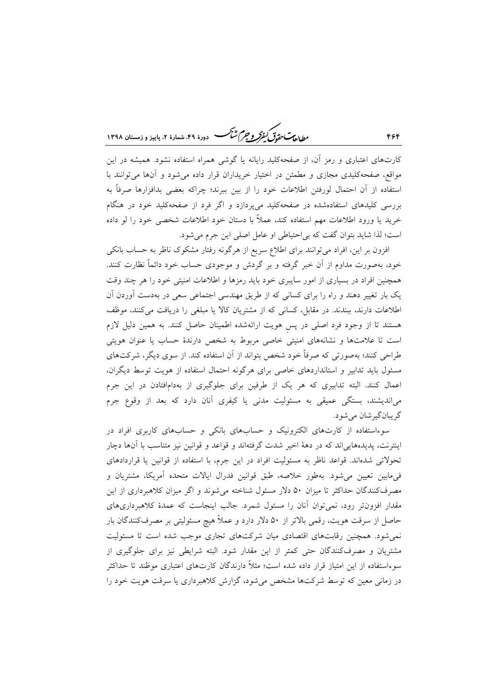مطالعات حقدق كنفركه وجرم شيحسه 

کارتهای اعتباری و رمز آن، از صفحهکلید رایانه یا گوشی همراه استفاده نشود. همیشه در این مواقع، صفحهکلیدی مجازی و مطمئن در اختیار خریداران قرار داده میشود و أنها میٍتوانند با استفاده از آن احتمال لورفتن اطلاعات خود را از بين ببرند؛ چراكه بعضي بدافزارها صرفاً به بررسی کلیدهای استفادهشده در صفحهکلید میپردازد و اگر فرد از صفحهکلید خود در هنگام خرید یا ورود اطلاعات مهم استفاده کند، عملاً با دستان خود اطلاعات شخصی خود را لو داده است؛ لذا شاید بتوان گفت که بی احتیاطی او عامل اصلی این جرم می شود.

افزون بر این، افراد می توانند برای اطلاع سریع از هرگونه رفتار مشکوک ناظر به حساب بانکی خود، بهصورت مداوم از آن خبر گرفته و بر گردش و موجودی حساب خود دائماً نظارت کنند. همچنین افراد در بسیاری از امور سایبری خود باید رمزها و اطلاعات امنیتی خود را هر چند وقت یک بار تغییر دهند و راه را برای کسانی که از طریق مهندسی اجتماعی سعی در بهدست آوردن آن اطلاعات دارند، ببندند. در مقابل، کسانی که از مشتریان کالا یا مبلغی را دریافت میکنند، موظف هستند تا از وجود فرد اصلی در پس هویت ارائهشده اطمینان حاصل کنند. به همین دلیل لازم است تا علامتها و نشانههای امنیتی خاصی مربوط به شخص دارندهٔ حساب یا عنوان هویتی طراحی کنند؛ بهصورتی که صرفاً خود شخص بتواند از آن استفاده کند. از سوی دیگر، شرکتهای مسئول باید تدابیر و استانداردهای خاصی برای هرگونه احتمال استفاده از هویت توسط دیگران، اعمال کنند. البته تدابیری که هر یک از طرفین برای جلوگیری از بهدامافتادن در این جرم میاندیشند، بستگی عمیقی به مسئولیت مدنی یا کیفری آنان دارد که بعد از وقوع جرم گر پبان گير شان مي شو د.

سوءاستفاده از کارتهای الکترونیک و حسابهای بانکی و حسابهای کاربری افراد در اینترنت، پدیدههاییاند که در دههٔ اخیر شدت گرفتهاند و قواعد و قوانین نیز متناسب با آنها دچار تحولاتی شدهاند. قواعد ناظر به مسئولیت افراد در این جرم، با استفاده از قوانین یا قراردادهای في،ابين تعيين مي شود. بهطور خلاصه، طبق قوانين فدرال ايالات متحده أمريكا، مشتريان و مصرفکنندگان حداکثر تا میزان ۵۰ دلار مسئول شناخته میشوند و اگر میزان کلاهبرداری از این مقدار افزونتر رود، نمیٍتوان آنان را مسئول شمرد. جالب اینجاست که عمدهٔ کلاهبرداریهای حاصل از سرقت هویت، رقمی بالاتر از ۵۰ دلار دارد و عملاً هیچ مسئولیتی بر مصرفکنندگان بار نمی شود. همچنین رقابتهای اقتصادی میان شرکتهای تجاری موجب شده است تا مسئولیت مشتریان و مصرفکنندگان حتی کمتر از این مقدار شود. البته شرایطی نیز برای جلوگیری از سوءاستفاده از این امتیاز قرار داده شده است؛ مثلاً دارندگان کارتهای اعتباری موظند تا حداکثر در زمانی معین که توسط شرکتها مشخص می شود، گزارش کلاهبرداری یا سرقت هویت خود را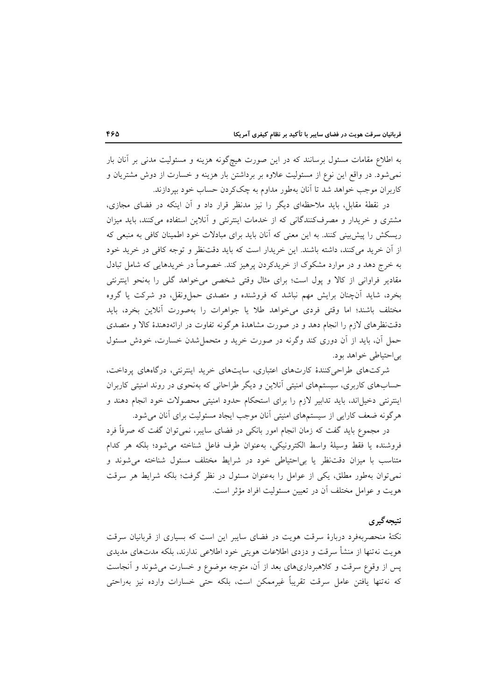به اطلاع مقامات مسئول برسانند که در این صورت هیچگونه هزینه و مسئولیت مدنی بر آنان بار نمیشود. در واقع این نوع از مسئولیت علاوه بر برداشتن بار هزینه و خسارت از دوش مشتریان و کاربران موجب خواهد شد تا آنان بهطور مداوم به چککردن حساب خود بیردازند.

در نقطهٔ مقابل، باید ملاحظهای دیگر را نیز مدنظر قرار داد و آن اینکه در فضای مجازی، مشتری و خریدار و مصرفکنندگانی که از خدمات اینترنتی و آنلاین استفاده میکنند، باید میزان ریسکش را پیش بینی کنند. به این معنی که آنان باید برای مبادلات خود اطمینان کافی به منبعی که از آن خرید میکنند، داشته باشند. این خریدار است که باید دقتنظر و توجه کافی در خرید خود به خرج دهد و در موارد مشکوک از خریدکردن پرهیز کند. خصوصاً در خریدهایی که شامل تبادل مقادیر فراوانی از کالا و یول است؛ برای مثال وقتی شخصی می خواهد گلی را بهنحو اینترنتی بخرد، شاید آنچنان برایش مهم نباشد که فروشنده و متصدی حمل ونقل، دو شرکت یا گروه مختلف باشند؛ اما وقتی فردی می خواهد طلا یا جواهرات را بهصورت آنلاین بخرد، باید دقتنظرهای لازم را انجام دهد و در صورت مشاهدهٔ هرگونه تفاوت در ارائهدهندهٔ کالا و متصدی حمل آن، باید از آن دوری کند وگرنه در صورت خرید و متحمل شدن خسارت، خودش مسئول بي|حتياطي خواهد بود.

شرکتهای طراحی کنندهٔ کارتهای اعتباری، سایتهای خرید اینترنتی، درگاههای پرداخت، حسابهای کاربری، سیستمهای امنیتی أنلاین و دیگر طراحانی که بهنحوی در روند امنیتی کاربران اینترنتی دخیلاند، باید تدابیر لازم را برای استحکام حدود امنیتی محصولات خود انجام دهند و هرگونه ضعف کارایی از سیستمهای امنیتی آنان موجب ایجاد مسئولیت برای آنان می شود.

در مجموع باید گفت که زمان انجام امور بانکی در فضای سایبر، نمی توان گفت که صرفاً فرد فروشنده يا فقط وسيلة واسط الكترونيكي، بهعنوان طرف فاعل شناخته مي شود؛ بلكه هر كدام متناسب با میزان دقت نظر یا بی احتیاطی خود در شرایط مختلف مسئول شناخته می شوند و نمی توان بهطور مطلق، یکی از عوامل را بهعنوان مسئول در نظر گرفت؛ بلکه شرایط هر سرقت هويت و عوامل مختلف آن در تعيين مسئوليت افراد مؤثر است.

### نتيجه گيري

نکتهٔ منحصربهفرد دربارهٔ سرقت هویت در فضای سایبر این است که بسیاری از قربانیان سرقت هويت نهتنها از منشأ سرقت و دزدي اطلاعات هويتي خود اطلاعي ندارند، بلكه مدتهاي مديدي پس از وقوع سرقت و کلاهبرداریهای بعد از آن، متوجه موضوع و خسارت میشوند و آنجاست که نهتنها یافتن عامل سرقت تقریباً غیرممکن است، بلکه حتی خسارات وارده نیز بهراحتی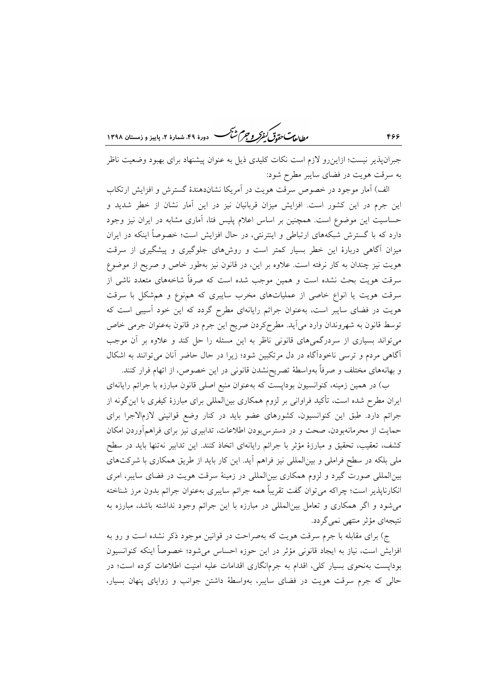مطالعات *متعاق کفوکر و جهم شنگ* دودهٔ ۴۹، شعارهٔ ۲، پاییز و ذمستان ۱۳۹۸

جبران پذیر نیست؛ ازاین رو لازم است نکات کلیدی ذیل به عنوان پیشنهاد برای بهبود وضعیت ناظر به سرقت هویت در فضای سایبر مطرح شود:

الف) آمار موجود در خصوص سرقت هويت در آمريكا نشاندهندهٔ گسترش و افزايش ارتكاب این جرم در این کشور است. افزایش میزان قربانیان نیز در این آمار نشان از خطر شدید و حساسیت این موضوع است. همچنین بر اساس اعلام پلیس فتا، آماری مشابه در ایران نیز وجود دارد که با گسترش شبکههای ارتباطی و اینترنتی، در حال افزایش است؛ خصوصاً اینکه در ایران میزان آگاهی دربارهٔ این خطر بسیار کمتر است و روشهای جلوگیری و پیشگیری از سرقت هویت نیز چندان به کار نرفته است. علاوه بر این، در قانون نیز بهطور خاص و صریح از موضوع سرقت هویت بحث نشده است و همین موجب شده است که صرفاً شاخههای متعدد ناشی از سرقت هویت یا انواع خاصی از عملیاتهای مخرب سایبری که هم نوع و هم شکل با سرقت هویت در فضای سایبر است، بهعنوان جرائم رایانهای مطرح گردد که این خود آسیبی است که توسط قانون به شهروندان وارد می]يد. مطرحكردن صريح اين جرم در قانون بهعنوان جرمي خاص میتواند بسیاری از سردرگمیهای قانونی ناظر به این مسئله را حل کند و علاوه بر آن موجب آگاهی مردم و ترسی ناخودآگاه در دل مرتکبین شود؛ زیرا در حال حاضر آنان می توانند به اشکال و بهانههای مختلف و صرفاً بهواسطهٔ تصریحنشدن قانونی در این خصوص، از اتهام فرار کنند.

ب) در همین زمینه، کنوانسیون بوداپست که بهعنوان منبع اصلی قانون مبارزه با جرائم رایانهای ایران مطرح شده است، تأکید فراوانی بر لزوم همکاری بینالمللی برای مبارزهٔ کیفری با این گونه از جرائم دارد. طبق این کنوانسیون، کشورهای عضو باید در کنار وضع قوانینی لازمالاجرا برای حمایت از محرمانهبودن، صحت و در دسترس بودن اطلاعات، تدابیری نیز برای فراهمآوردن امکان كشف، تعقيب، تحقيق و مبارزهٔ مؤثر با جرائم رايانهاى اتخاذ كنند. اين تدابير نهتنها بايد در سطح ملی بلکه در سطح فراملی و بینالمللی نیز فراهم آید. این کار باید از طریق همکاری با شرکتهای بینالمللی صورت گیرد و لزوم همکاری بینالمللی در زمینهٔ سرقت هویت در فضای سایبر، امری انکارناپذیر است؛ چراکه می توان گفت تقریباً همه جرائم سایبری بهعنوان جرائم بدون مرز شناخته می شود و اگر همکاری و تعامل بینالمللی در مبارزه با این جرائم وجود نداشته باشد، مبارزه به نتیجهای مؤثر منتهی نمی گردد.

ج) برای مقابله با جرم سرقت هویت که بهصراحت در قوانین موجود ذکر نشده است و رو به افزایش است، نیاز به ایجاد قانونی مؤثر در این حوزه احساس میشود؛ خصوصاً اینکه کنوانسیون بوداپست بهنحوی بسیار کلی، اقدام به جرمانگاری اقدامات علیه امنیت اطلاعات کرده است؛ در حالي كه جرم سرقت هويت در فضاي سايبر، بهواسطهٔ داشتن جوانب و زواياي پنهان بسيار،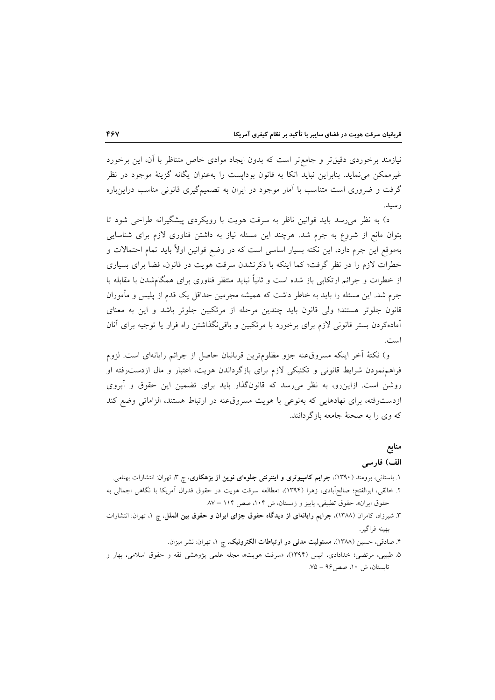نیازمند برخوردی دقیقتر و جامع تر است که بدون ایجاد موادی خاص متناظر با آن، این برخورد غیرممکن می نماید. بنابراین نباید اتکا به قانون بوداپست را بهعنوان یگانه گزینهٔ موجود در نظر گرفت و ضروری است متناسب با آمار موجود در ایران به تصمیمگیری قانونی مناسب دراین باره رسيد.

د) به نظر می رسد باید قوانین ناظر به سرقت هویت با رویکردی پیشگیرانه طراحی شود تا بتوان مانع از شروع به جرم شد. هرچند این مسئله نیاز به داشتن فناوری لازم برای شناسایی بهموقع این جرم دارد، این نکته بسیار اساسی است که در وضع قوانین اولاً باید تمام احتمالات و خطرات لازم را در نظر گرفت؛ کما اینکه با ذکرنشدن سرقت هویت در قانون، فضا برای بسیاری از خطرات و جرائم ارتکابی باز شده است و ثانیاً نباید منتظر فناوری برای همگامشدن با مقابله با جرم شد. این مسئله را باید به خاطر داشت که همیشه مجرمین حداقل یک قدم از پلیس و مأموران قانون جلوتر هستند؛ ولي قانون بايد چندين مرحله از مرتكبين جلوتر باشد و اين به معناي آمادهکردن بستر قانونی لازم برای برخورد با مرتکبین و باقی نگذاشتن راه فرار یا توجیه برای آنان است.

و) نكتهٔ آخر اینکه مسروق عنه جزو مظلومترین قربانیان حاصل از جرائم رایانهای است. لزوم فراهمنمودن شرایط قانونی و تکنیکی لازم برای بازگرداندن هویت، اعتبار و مال ازدسترفته او روشن است. ازاینِ رو، به نظر می رسد که قانونگذار باید برای تضمین این حقوق و آبروی ازدست رفته، برای نهادهایی که بهنوعی با هویت مسروق عنه در ارتباط هستند، الزاماتی وضع کند که وی را به صحنهٔ جامعه بازگردانند.

#### منابع

# الف) فارسي

- ١. باستانی، برومند (١٣٩٠)، جرایم کامپیوتری و اینترنتی جلوهای نوین از بزهکاری، چ ٣، تهران: انتشارات بهنامی.
- ۲. خالقی، ابوالفتح؛ صالح اَبادی، زهرا (۱۳۹۴)، «مطالعه سرقت هویت در حقوق فدرال اَمریکا با نگاهی اجمالی به حقوق ایران»، حقوق تطبیقی، پاییز و زمستان، ش ۱۰۴، صص ۱۱۴ – ۸۷.
- ۳. شیرزاد، کامران (۱۳۸۸)، جرایم رایانهای از دیدگاه حقوق جزای ایران و حقوق بین الملل، چ ۱، تهران: انتشارات بهينه فراگير.
	- ۴. صادقی، حسین (۱۳۸۸)، مسئولیت مدنی در ارتباطات الکترونیک، چ ۱، تهران: نشر میزان.
- ۵. طبیبی، مرتضی؛ خدادادی، انیس (۱۳۹۴)، «سرقت هویت»، مجله علمی پژوهشی فقه و حقوق اسلامی، بهار و تابستان، ش ١٠، صص ٩۶ - ٧۵.